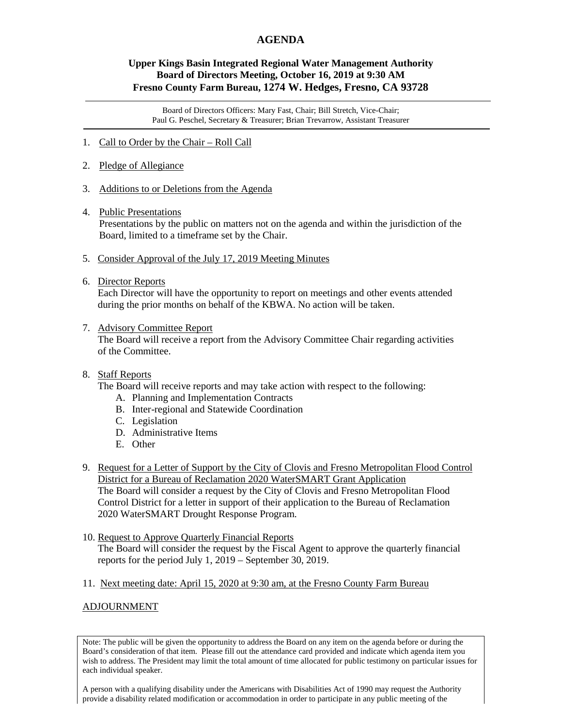## **AGENDA**

## **Upper Kings Basin Integrated Regional Water Management Authority Board of Directors Meeting, October 16, 2019 at 9:30 AM Fresno County Farm Bureau, 1274 W. Hedges, Fresno, CA 93728**

Board of Directors Officers: Mary Fast, Chair; Bill Stretch, Vice-Chair; Paul G. Peschel, Secretary & Treasurer; Brian Trevarrow, Assistant Treasurer

- 1. Call to Order by the Chair Roll Call
- 2. Pledge of Allegiance
- 3. Additions to or Deletions from the Agenda
- 4. Public Presentations

Presentations by the public on matters not on the agenda and within the jurisdiction of the Board, limited to a timeframe set by the Chair.

- 5. Consider Approval of the July 17, 2019 Meeting Minutes
- 6. Director Reports

 Each Director will have the opportunity to report on meetings and other events attended during the prior months on behalf of the KBWA. No action will be taken.

7. Advisory Committee Report

 The Board will receive a report from the Advisory Committee Chair regarding activities of the Committee.

8. Staff Reports

The Board will receive reports and may take action with respect to the following:

- A. Planning and Implementation Contracts
- B. Inter-regional and Statewide Coordination
- C. Legislation
- D. Administrative Items
- E. Other
- 9. Request for a Letter of Support by the City of Clovis and Fresno Metropolitan Flood Control District for a Bureau of Reclamation 2020 WaterSMART Grant Application The Board will consider a request by the City of Clovis and Fresno Metropolitan Flood Control District for a letter in support of their application to the Bureau of Reclamation 2020 WaterSMART Drought Response Program.
- 10. Request to Approve Quarterly Financial Reports The Board will consider the request by the Fiscal Agent to approve the quarterly financial reports for the period July 1, 2019 – September 30, 2019.
- 11. Next meeting date: April 15, 2020 at 9:30 am, at the Fresno County Farm Bureau

## ADJOURNMENT

Note: The public will be given the opportunity to address the Board on any item on the agenda before or during the Board's consideration of that item. Please fill out the attendance card provided and indicate which agenda item you wish to address. The President may limit the total amount of time allocated for public testimony on particular issues for each individual speaker.

A person with a qualifying disability under the Americans with Disabilities Act of 1990 may request the Authority provide a disability related modification or accommodation in order to participate in any public meeting of the